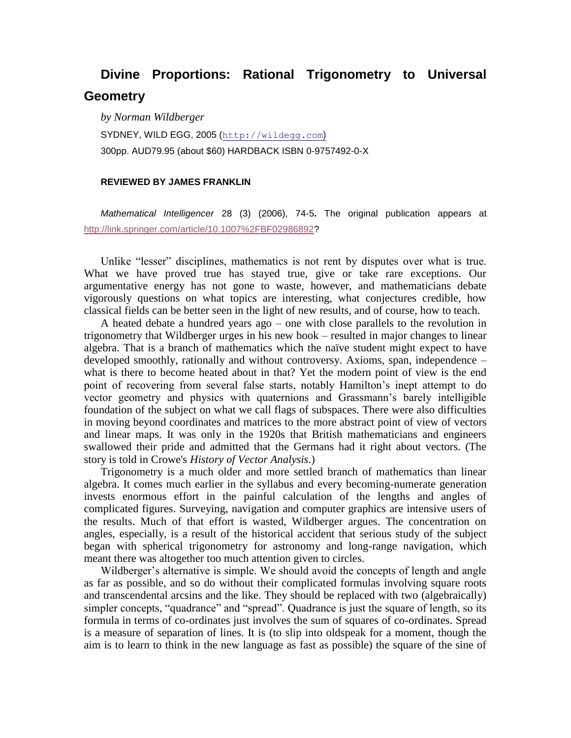## **Divine Proportions: Rational Trigonometry to Universal Geometry**

*by Norman Wildberger* SYDNEY, WILD EGG, 2005 ([http://wildegg.com](http://wildegg.com/)) 300pp. AUD79.95 (about \$60) HARDBACK ISBN 0-9757492-0-X

## **REVIEWED BY JAMES FRANKLIN**

*Mathematical Intelligencer* 28 (3) (2006), 74-5**.** The original publication appears at [http://link.springer.com/article/10.1007%2FBF02986892?](http://link.springer.com/article/10.1007%2FBF02986892)

Unlike "lesser" disciplines, mathematics is not rent by disputes over what is true. What we have proved true has stayed true, give or take rare exceptions. Our argumentative energy has not gone to waste, however, and mathematicians debate vigorously questions on what topics are interesting, what conjectures credible, how classical fields can be better seen in the light of new results, and of course, how to teach.

A heated debate a hundred years ago – one with close parallels to the revolution in trigonometry that Wildberger urges in his new book – resulted in major changes to linear algebra. That is a branch of mathematics which the naïve student might expect to have developed smoothly, rationally and without controversy. Axioms, span, independence – what is there to become heated about in that? Yet the modern point of view is the end point of recovering from several false starts, notably Hamilton's inept attempt to do vector geometry and physics with quaternions and Grassmann's barely intelligible foundation of the subject on what we call flags of subspaces. There were also difficulties in moving beyond coordinates and matrices to the more abstract point of view of vectors and linear maps. It was only in the 1920s that British mathematicians and engineers swallowed their pride and admitted that the Germans had it right about vectors. (The story is told in Crowe's *History of Vector Analysis*.)

Trigonometry is a much older and more settled branch of mathematics than linear algebra. It comes much earlier in the syllabus and every becoming-numerate generation invests enormous effort in the painful calculation of the lengths and angles of complicated figures. Surveying, navigation and computer graphics are intensive users of the results. Much of that effort is wasted, Wildberger argues. The concentration on angles, especially, is a result of the historical accident that serious study of the subject began with spherical trigonometry for astronomy and long-range navigation, which meant there was altogether too much attention given to circles.

Wildberger's alternative is simple. We should avoid the concepts of length and angle as far as possible, and so do without their complicated formulas involving square roots and transcendental arcsins and the like. They should be replaced with two (algebraically) simpler concepts, "quadrance" and "spread". Quadrance is just the square of length, so its formula in terms of co-ordinates just involves the sum of squares of co-ordinates. Spread is a measure of separation of lines. It is (to slip into oldspeak for a moment, though the aim is to learn to think in the new language as fast as possible) the square of the sine of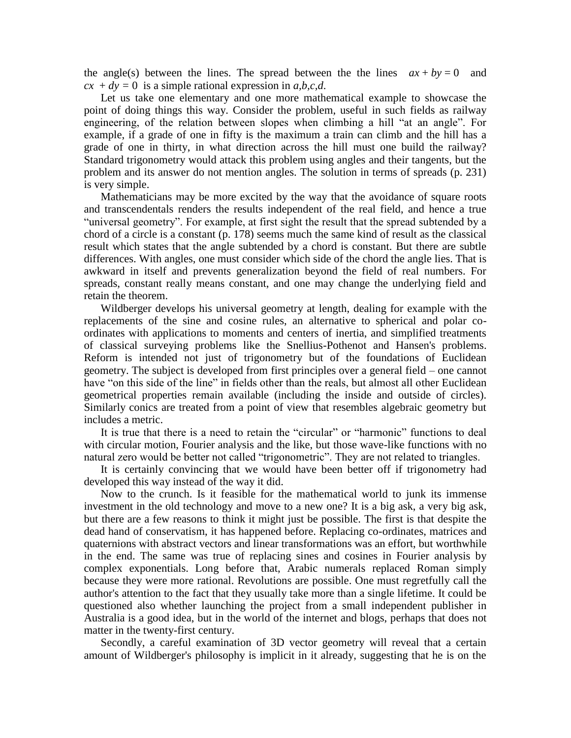the angle(s) between the lines. The spread between the the lines  $ax + by = 0$  and  $cx + dy = 0$  is a simple rational expression in *a,b,c,d.* 

Let us take one elementary and one more mathematical example to showcase the point of doing things this way. Consider the problem, useful in such fields as railway engineering, of the relation between slopes when climbing a hill "at an angle". For example, if a grade of one in fifty is the maximum a train can climb and the hill has a grade of one in thirty, in what direction across the hill must one build the railway? Standard trigonometry would attack this problem using angles and their tangents, but the problem and its answer do not mention angles. The solution in terms of spreads (p. 231) is very simple.

Mathematicians may be more excited by the way that the avoidance of square roots and transcendentals renders the results independent of the real field, and hence a true "universal geometry". For example, at first sight the result that the spread subtended by a chord of a circle is a constant (p. 178) seems much the same kind of result as the classical result which states that the angle subtended by a chord is constant. But there are subtle differences. With angles, one must consider which side of the chord the angle lies. That is awkward in itself and prevents generalization beyond the field of real numbers. For spreads, constant really means constant, and one may change the underlying field and retain the theorem.

Wildberger develops his universal geometry at length, dealing for example with the replacements of the sine and cosine rules, an alternative to spherical and polar coordinates with applications to moments and centers of inertia, and simplified treatments of classical surveying problems like the Snellius-Pothenot and Hansen's problems. Reform is intended not just of trigonometry but of the foundations of Euclidean geometry. The subject is developed from first principles over a general field – one cannot have "on this side of the line" in fields other than the reals, but almost all other Euclidean geometrical properties remain available (including the inside and outside of circles). Similarly conics are treated from a point of view that resembles algebraic geometry but includes a metric.

It is true that there is a need to retain the "circular" or "harmonic" functions to deal with circular motion, Fourier analysis and the like, but those wave-like functions with no natural zero would be better not called "trigonometric". They are not related to triangles.

It is certainly convincing that we would have been better off if trigonometry had developed this way instead of the way it did.

Now to the crunch. Is it feasible for the mathematical world to junk its immense investment in the old technology and move to a new one? It is a big ask, a very big ask, but there are a few reasons to think it might just be possible. The first is that despite the dead hand of conservatism, it has happened before. Replacing co-ordinates, matrices and quaternions with abstract vectors and linear transformations was an effort, but worthwhile in the end. The same was true of replacing sines and cosines in Fourier analysis by complex exponentials. Long before that, Arabic numerals replaced Roman simply because they were more rational. Revolutions are possible. One must regretfully call the author's attention to the fact that they usually take more than a single lifetime. It could be questioned also whether launching the project from a small independent publisher in Australia is a good idea, but in the world of the internet and blogs, perhaps that does not matter in the twenty-first century.

Secondly, a careful examination of 3D vector geometry will reveal that a certain amount of Wildberger's philosophy is implicit in it already, suggesting that he is on the